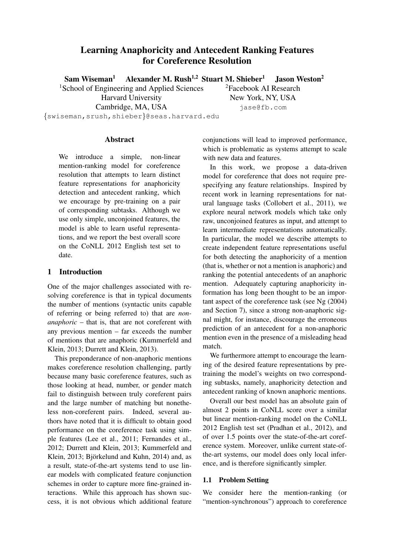# Learning Anaphoricity and Antecedent Ranking Features for Coreference Resolution

Sam Wiseman<sup>1</sup> Alexander M. Rush<sup>1,2</sup> Stuart M. Shieber<sup>1</sup> Jason Weston<sup>2</sup>

1School of Engineering and Applied Sciences Harvard University

Cambridge, MA, USA

2Facebook AI Research New York, NY, USA jase@fb.com

*{*swiseman,srush,shieber*}*@seas.harvard.edu

### **Abstract**

We introduce a simple, non-linear mention-ranking model for coreference resolution that attempts to learn distinct feature representations for anaphoricity detection and antecedent ranking, which we encourage by pre-training on a pair of corresponding subtasks. Although we use only simple, unconjoined features, the model is able to learn useful representations, and we report the best overall score on the CoNLL 2012 English test set to date.

# 1 Introduction

One of the major challenges associated with resolving coreference is that in typical documents the number of mentions (syntactic units capable of referring or being referred to) that are *nonanaphoric* – that is, that are not coreferent with any previous mention – far exceeds the number of mentions that are anaphoric (Kummerfeld and Klein, 2013; Durrett and Klein, 2013).

This preponderance of non-anaphoric mentions makes coreference resolution challenging, partly because many basic coreference features, such as those looking at head, number, or gender match fail to distinguish between truly coreferent pairs and the large number of matching but nonetheless non-coreferent pairs. Indeed, several authors have noted that it is difficult to obtain good performance on the coreference task using simple features (Lee et al., 2011; Fernandes et al., 2012; Durrett and Klein, 2013; Kummerfeld and Klein, 2013; Björkelund and Kuhn, 2014) and, as a result, state-of-the-art systems tend to use linear models with complicated feature conjunction schemes in order to capture more fine-grained interactions. While this approach has shown success, it is not obvious which additional feature conjunctions will lead to improved performance, which is problematic as systems attempt to scale with new data and features.

In this work, we propose a data-driven model for coreference that does not require prespecifying any feature relationships. Inspired by recent work in learning representations for natural language tasks (Collobert et al., 2011), we explore neural network models which take only raw, unconjoined features as input, and attempt to learn intermediate representations automatically. In particular, the model we describe attempts to create independent feature representations useful for both detecting the anaphoricity of a mention (that is, whether or not a mention is anaphoric) and ranking the potential antecedents of an anaphoric mention. Adequately capturing anaphoricity information has long been thought to be an important aspect of the coreference task (see Ng (2004) and Section 7), since a strong non-anaphoric signal might, for instance, discourage the erroneous prediction of an antecedent for a non-anaphoric mention even in the presence of a misleading head match.

We furthermore attempt to encourage the learning of the desired feature representations by pretraining the model's weights on two corresponding subtasks, namely, anaphoricity detection and antecedent ranking of known anaphoric mentions.

Overall our best model has an absolute gain of almost 2 points in CoNLL score over a similar but linear mention-ranking model on the CoNLL 2012 English test set (Pradhan et al., 2012), and of over 1.5 points over the state-of-the-art coreference system. Moreover, unlike current state-ofthe-art systems, our model does only local inference, and is therefore significantly simpler.

## 1.1 Problem Setting

We consider here the mention-ranking (or "mention-synchronous") approach to coreference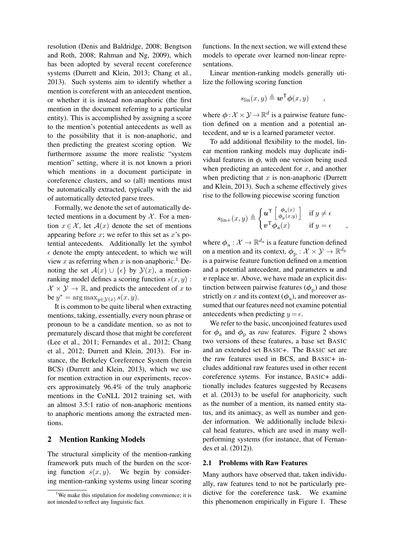resolution (Denis and Baldridge, 2008; Bengtson and Roth, 2008; Rahman and Ng, 2009), which has been adopted by several recent coreference systems (Durrett and Klein, 2013; Chang et al., 2013). Such systems aim to identify whether a mention is coreferent with an antecedent mention, or whether it is instead non-anaphoric (the first mention in the document referring to a particular entity). This is accomplished by assigning a score to the mention's potential antecedents as well as to the possibility that it is non-anaphoric, and then predicting the greatest scoring option. We furthermore assume the more realistic "system mention" setting, where it is not known a priori which mentions in a document participate in coreference clusters, and so (all) mentions must be automatically extracted, typically with the aid of automatically detected parse trees.

Formally, we denote the set of automatically detected mentions in a document by  $X$ . For a mention  $x \in \mathcal{X}$ , let  $\mathcal{A}(x)$  denote the set of mentions appearing before *x*; we refer to this set as *x*'s potential antecedents. Additionally let the symbol  $\epsilon$  denote the empty antecedent, to which we will view *x* as referring when *x* is non-anaphoric.<sup>1</sup> Denoting the set  $\mathcal{A}(x) \cup \{\epsilon\}$  by  $\mathcal{Y}(x)$ , a mentionranking model defines a scoring function  $s(x, y)$ :  $\mathcal{X} \times \mathcal{Y} \rightarrow \mathbb{R}$ , and predicts the antecedent of *x* to be  $y^* = \arg \max_{y \in \mathcal{Y}(x)} s(x, y)$ .

It is common to be quite liberal when extracting mentions, taking, essentially, every noun phrase or pronoun to be a candidate mention, so as not to prematurely discard those that might be coreferent (Lee et al., 2011; Fernandes et al., 2012; Chang et al., 2012; Durrett and Klein, 2013). For instance, the Berkeley Coreference System (herein BCS) (Durrett and Klein, 2013), which we use for mention extraction in our experiments, recovers approximately 96.4% of the truly anaphoric mentions in the CoNLL 2012 training set, with an almost 3.5:1 ratio of non-anaphoric mentions to anaphoric mentions among the extracted mentions.

## 2 Mention Ranking Models

The structural simplicity of the mention-ranking framework puts much of the burden on the scoring function  $s(x, y)$ . We begin by considering mention-ranking systems using linear scoring functions. In the next section, we will extend these models to operate over learned non-linear representations.

Linear mention-ranking models generally utilize the following scoring function

$$
s_{\text{lin}}(x, y) \triangleq \boldsymbol{w}^{\mathsf{T}} \boldsymbol{\phi}(x, y) \qquad ,
$$

where  $\phi: \mathcal{X} \times \mathcal{Y} \to \mathbb{R}^d$  is a pairwise feature function defined on a mention and a potential antecedent, and *w* is a learned parameter vector.

To add additional flexibility to the model, linear mention ranking models may duplicate individual features in  $\phi$ , with one version being used when predicting an antecedent for *x*, and another when predicting that *x* is non-anaphoric (Durrett and Klein, 2013). Such a scheme effectively gives rise to the following piecewise scoring function

$$
s_{\text{lin}+}(x,y) \triangleq \begin{cases} u^{\mathsf{T}} \begin{bmatrix} \phi_{\mathbf{a}}(x) \\ \phi_{\mathbf{p}}(x,y) \end{bmatrix} & \text{if } y \neq \epsilon \\ v^{\mathsf{T}} \phi_{\mathbf{a}}(x) & \text{if } y = \epsilon \end{cases},
$$

where  $\phi_a : \mathcal{X} \to \mathbb{R}^{d_a}$  is a feature function defined on a mention and its context,  $\phi_{\rm p} : \mathcal{X} \times \mathcal{Y} \to \mathbb{R}^{d_{\rm p}}$ is a pairwise feature function defined on a mention and a potential antecedent, and parameters *u* and *v* replace *w*. Above, we have made an explicit distinction between pairwise features  $(\phi_{\rm n})$  and those strictly on *x* and its context  $(\phi_a)$ , and moreover assumed that our features need not examine potential antecedents when predicting  $y = \epsilon$ .

We refer to the basic, unconjoined features used for  $\phi_a$  and  $\phi_p$  as *raw* features. Figure 2 shows two versions of these features, a base set BASIC and an extended set BASIC+. The BASIC set are the raw features used in BCS, and BASIC+ includes additional raw features used in other recent coreference sytems. For instance, BASIC+ additionally includes features suggested by Recasens et al. (2013) to be useful for anaphoricity, such as the number of a mention, its named entity status, and its animacy, as well as number and gender information. We additionally include bilexical head features, which are used in many wellperforming systems (for instance, that of Fernandes et al. (2012)).

### 2.1 Problems with Raw Features

Many authors have observed that, taken individually, raw features tend to not be particularly predictive for the coreference task. We examine this phenomenon empirically in Figure 1. These

<sup>&</sup>lt;sup>1</sup>We make this stipulation for modeling convenience; it is not intended to reflect any linguistic fact.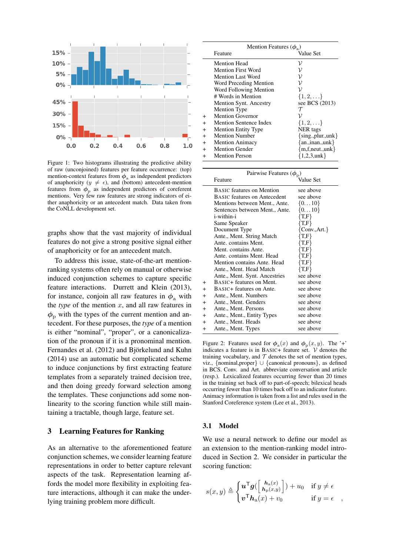

Figure 1: Two histograms illustrating the predictive ability of raw (unconjoined) features per feature occurrence: (top) mention-context features from  $\phi_a$  as independent predictors of anaphoricity ( $y \neq \epsilon$ ), and (bottom) antecedent-mention features from  $\phi_{\rm p}$  as independent predictors of coreferent mentions. Very few raw features are strong indicators of either anaphoricity or an antecedent match. Data taken from the CoNLL development set.

graphs show that the vast majority of individual features do not give a strong positive signal either of anaphoricity or for an antecedent match.

To address this issue, state-of-the-art mentionranking systems often rely on manual or otherwise induced conjunction schemes to capture specific feature interactions. Durrett and Klein (2013), for instance, conjoin all raw features in  $\phi$ <sub>a</sub> with the *type* of the mention *x*, and all raw features in  $\phi_{\rm n}$  with the types of the current mention and antecedent. For these purposes, the *type* of a mention is either "nominal", "proper", or a canonicalization of the pronoun if it is a pronominal mention. Fernandes et al. (2012) and Björkelund and Kuhn (2014) use an automatic but complicated scheme to induce conjunctions by first extracting feature templates from a separately trained decision tree, and then doing greedy forward selection among the templates. These conjunctions add some nonlinearity to the scoring function while still maintaining a tractable, though large, feature set.

## 3 Learning Features for Ranking

As an alternative to the aforementioned feature conjunction schemes, we consider learning feature representations in order to better capture relevant aspects of the task. Representation learning affords the model more flexibility in exploiting feature interactions, although it can make the underlying training problem more difficult.

|           | Mention Features $(\phi_{\alpha})$ |                        |
|-----------|------------------------------------|------------------------|
|           | Feature                            | Value Set              |
|           | <b>Mention Head</b>                | ν                      |
|           | Mention First Word                 |                        |
|           | Mention Last Word                  | ν                      |
|           | Word Preceding Mention             | ν                      |
|           | Word Following Mention             | ν                      |
|           | # Words in Mention                 | $\{1, 2, \ldots\}$     |
|           | Mention Synt. Ancestry             | see BCS (2013)         |
|           | <b>Mention Type</b>                |                        |
| $+$       | <b>Mention Governor</b>            |                        |
| $+$       | <b>Mention Sentence Index</b>      | $\{1, 2, \ldots\}$     |
| $+$       | <b>Mention Entity Type</b>         | <b>NER</b> tags        |
| $+$       | <b>Mention Number</b>              | $\{sing., plur.,unk\}$ |
| $\ddot{}$ | <b>Mention Animacy</b>             | $\{an., inan.,unk\}$   |
| $\ddot{}$ | <b>Mention Gender</b>              | ${m,f, neut.,unk}$     |
| $\ddot{}$ | <b>Mention Person</b>              | ${1,2,3,unk}$          |

|                | Pairwise Features $(\phi_{\rm p})$  |                 |  |  |  |  |  |
|----------------|-------------------------------------|-----------------|--|--|--|--|--|
|                | Feature                             | Value Set       |  |  |  |  |  |
|                | <b>BASIC</b> features on Mention    | see above       |  |  |  |  |  |
|                | <b>BASIC</b> features on Antecedent | see above       |  |  |  |  |  |
|                | Mentions between Ment., Ante.       | $\{010\}$       |  |  |  |  |  |
|                | Sentences between Ment., Ante.      | $\{010\}$       |  |  |  |  |  |
|                | i-within-i                          | T,F             |  |  |  |  |  |
|                | Same Speaker                        | $\{T_\cdot F\}$ |  |  |  |  |  |
|                | Document Type                       | $Conv, Art.$ }  |  |  |  |  |  |
|                | Ante., Ment. String Match           | T.F             |  |  |  |  |  |
|                | Ante. contains Ment.                | T.F}            |  |  |  |  |  |
|                | Ment. contains Ante.                | T.F}            |  |  |  |  |  |
|                | Ante, contains Ment. Head           | T.F}            |  |  |  |  |  |
|                | Mention contains Ante. Head         | {T.F}           |  |  |  |  |  |
|                | Ante., Ment. Head Match             | $\{T_\cdot F\}$ |  |  |  |  |  |
|                | Ante., Ment. Synt. Ancestries       | see above       |  |  |  |  |  |
| $\ddot{}$      | BASIC+ features on Ment.            | see above       |  |  |  |  |  |
| $\ddot{}$      | BASIC+ features on Ante.            | see above       |  |  |  |  |  |
| $\hbox{ }$     | Ante., Ment. Numbers                | see above       |  |  |  |  |  |
| $\overline{+}$ | Ante., Ment. Genders                | see above       |  |  |  |  |  |
| $\overline{+}$ | Ante., Ment. Persons                | see above       |  |  |  |  |  |
| $\overline{+}$ | Ante., Ment., Entity Types          | see above       |  |  |  |  |  |
| $\overline{+}$ | Ante., Ment. Heads                  | see above       |  |  |  |  |  |
| $\pm$          | Ante., Ment. Types                  | see above       |  |  |  |  |  |
|                |                                     |                 |  |  |  |  |  |

Figure 2: Features used for  $\phi_a(x)$  and  $\phi_n(x, y)$ . The '+' indicates a feature is in BASIC+ feature set. *V* denotes the training vocabulary, and  $T$  denotes the set of mention types, viz.,  $\{nominal, proper\} \cup \{canonical, pronouns\}$ , as defined in BCS. Conv. and Art. abbreviate conversation and article (resp.). Lexicalized features occurring fewer than 20 times in the training set back off to part-of-speech; bilexical heads occurring fewer than 10 times back off to an indicator feature. Animacy information is taken from a list and rules used in the Stanford Coreference system (Lee et al., 2013).

### 3.1 Model

We use a neural network to define our model as an extension to the mention-ranking model introduced in Section 2. We consider in particular the scoring function:

$$
s(x,y) \triangleq \begin{cases} u^{\mathsf{T}} g(\begin{bmatrix} h_a(x) \\ h_p(x,y) \end{bmatrix}) + u_0 & \text{if } y \neq \epsilon \\ v^{\mathsf{T}} h_a(x) + v_0 & \text{if } y = \epsilon \end{cases}
$$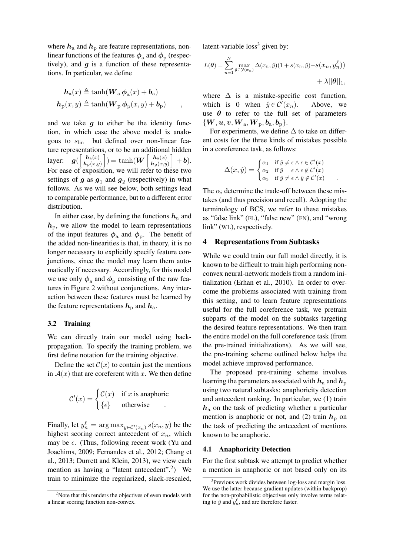where  $h_a$  and  $h_p$  are feature representations, nonlinear functions of the features  $\phi_a$  and  $\phi_p$  (respectively), and *g* is a function of these representations. In particular, we define

$$
\mathbf{h}_{a}(x) \triangleq \tanh(\mathbf{W}_{a} \boldsymbol{\phi}_{a}(x) + \mathbf{b}_{a})
$$

$$
\mathbf{h}_{p}(x, y) \triangleq \tanh(\mathbf{W}_{p} \boldsymbol{\phi}_{p}(x, y) + \mathbf{b}_{p}) ,
$$

and we take  $q$  to either be the identity function, in which case the above model is analogous to  $s_{\text{lin}+}$  but defined over non-linear feature representations, or to be an additional hidden layer:  $\int$   $\bm{h}_a(x)$  $\bm{h}_{\mathrm{p}}(x,y)$  $\left| \cdot \right| = \tanh(W \left[ \frac{h_a(x)}{h_a(x)} \right]$  $\bm{h}_{\mathrm{p}}(x,y)$  $\Big] + b$ ). For ease of exposition, we will refer to these two settings of  $g$  as  $g_1$  and  $g_2$  (respectively) in what follows. As we will see below, both settings lead to comparable performance, but to a different error distribution.

In either case, by defining the functions  $h_a$  and  $h_{\rm p}$ , we allow the model to learn representations of the input features  $\phi_a$  and  $\phi_p$ . The benefit of the added non-linearities is that, in theory, it is no longer necessary to explicitly specify feature conjunctions, since the model may learn them automatically if necessary. Accordingly, for this model we use only  $\phi_a$  and  $\phi_p$  consisting of the raw features in Figure 2 without conjunctions. Any interaction between these features must be learned by the feature representations  $h_{\rm p}$  and  $h_{\rm a}$ .

### 3.2 Training

We can directly train our model using backpropagation. To specify the training problem, we first define notation for the training objective.

Define the set  $C(x)$  to contain just the mentions in  $A(x)$  that are coreferent with x. We then define

$$
\mathcal{C}'(x) = \begin{cases} \mathcal{C}(x) & \text{if } x \text{ is anaphoric} \\ \{\epsilon\} & \text{otherwise} \end{cases}
$$

Finally, let  $y_n^{\ell} = \arg \max_{y \in \mathcal{C}'(x_n)} s(x_n, y)$  be the highest scoring correct antecedent of *xn*, which may be  $\epsilon$ . (Thus, following recent work (Yu and Joachims, 2009; Fernandes et al., 2012; Chang et al., 2013; Durrett and Klein, 2013), we view each mention as having a "latent antecedent".<sup>2</sup>) We train to minimize the regularized, slack-rescaled, latent-variable  $loss<sup>3</sup>$  given by:

$$
L(\boldsymbol{\theta}) = \sum_{n=1}^{N} \max_{\hat{y} \in \mathcal{Y}(x_n)} \Delta(x_n, \hat{y}) (1 + s(x_n, \hat{y}) - s(x_n, y_n^{\ell})) + \lambda ||\boldsymbol{\theta}||_1,
$$

where  $\Delta$  is a mistake-specific cost function, which is 0 when  $\hat{y} \in \mathcal{C}'(x_n)$ . (*xn*). Above, we use  $\theta$  to refer to the full set of parameters  $\{W, u, v, W$ <sub>a</sub>,  $W$ <sub>p</sub>,  $b$ <sub>a</sub>,  $b$ <sub>p</sub> $\}$ .

For experiments, we define  $\Delta$  to take on different costs for the three kinds of mistakes possible in a coreference task, as follows:

$$
\Delta(x, \hat{y}) = \begin{cases} \alpha_1 & \text{if } \hat{y} \neq \epsilon \wedge \epsilon \in \mathcal{C}'(x) \\ \alpha_2 & \text{if } \hat{y} = \epsilon \wedge \epsilon \notin \mathcal{C}'(x) \\ \alpha_3 & \text{if } \hat{y} \neq \epsilon \wedge \hat{y} \notin \mathcal{C}'(x) \end{cases} .
$$

The  $\alpha_i$  determine the trade-off between these mistakes (and thus precision and recall). Adopting the terminology of BCS, we refer to these mistakes as "false link" (FL), "false new" (FN), and "wrong link" (WL), respectively.

### 4 Representations from Subtasks

While we could train our full model directly, it is known to be difficult to train high performing nonconvex neural-network models from a random initialization (Erhan et al., 2010). In order to overcome the problems associated with training from this setting, and to learn feature representations useful for the full coreference task, we pretrain subparts of the model on the subtasks targeting the desired feature representations. We then train the entire model on the full coreference task (from the pre-trained initializations). As we will see, the pre-training scheme outlined below helps the model achieve improved performance.

The proposed pre-training scheme involves learning the parameters associated with  $h_a$  and  $h_p$ using two natural subtasks: anaphoricity detection and antecedent ranking. In particular, we (1) train *h*<sup>a</sup> on the task of predicting whether a particular mention is anaphoric or not, and (2) train  $h<sub>p</sub>$  on the task of predicting the antecedent of mentions known to be anaphoric.

#### 4.1 Anaphoricity Detection

For the first subtask we attempt to predict whether a mention is anaphoric or not based only on its

<sup>&</sup>lt;sup>2</sup>Note that this renders the objectives of even models with a linear scoring function non-convex.

<sup>&</sup>lt;sup>3</sup>Previous work divides between log-loss and margin loss. We use the latter because gradient updates (within backprop) for the non-probabilistic objectives only involve terms relating to  $\hat{y}$  and  $y_n^{\ell}$ , and are therefore faster.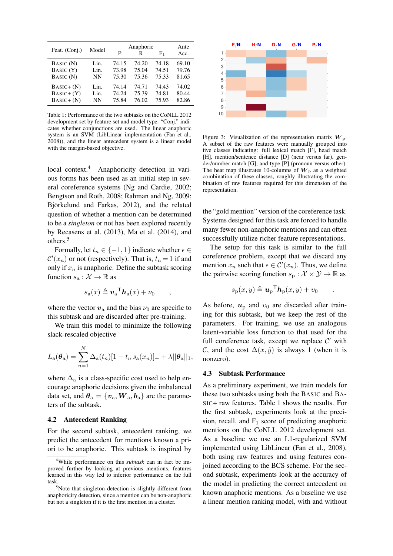| Feat. (Conj.) | Model |       | Anaphoric |                | Ante  |
|---------------|-------|-------|-----------|----------------|-------|
|               |       | P     | R         | F <sub>1</sub> | Acc.  |
| BASIC (N)     | Lin.  | 74.15 | 74.20     | 74.18          | 69.10 |
| BASIC (Y)     | Lin.  | 73.98 | 75.04     | 74.51          | 79.76 |
| BASIC (N)     | NΝ    | 75.30 | 75.36     | 75.33          | 81.65 |
| $BASIC + (N)$ | Lin.  | 74.14 | 74.71     | 74.43          | 74.02 |
| $BASIC+ (Y)$  | Lin.  | 74.24 | 75.39     | 74.81          | 80.44 |
| $BASIC + (N)$ | NΝ    | 75.84 | 76.02     | 75.93          | 82.86 |
|               |       |       |           |                |       |

Table 1: Performance of the two subtasks on the CoNLL 2012 development set by feature set and model type. "Conj." indicates whether conjunctions are used. The linear anaphoric system is an SVM (LibLinear implementation (Fan et al., 2008)), and the linear antecedent system is a linear model with the margin-based objective.

local context.<sup>4</sup> Anaphoricity detection in various forms has been used as an initial step in several coreference systems (Ng and Cardie, 2002; Bengtson and Roth, 2008; Rahman and Ng, 2009; Björkelund and Farkas, 2012), and the related question of whether a mention can be determined to be a *singleton* or not has been explored recently by Recasens et al. (2013), Ma et al. (2014), and others.5

Formally, let  $t_n \in \{-1, 1\}$  indicate whether  $\epsilon \in$  $\mathcal{C}'(x_n)$  or not (respectively). That is,  $t_n = 1$  if and only if  $x_n$  is anaphoric. Define the subtask scoring function  $s_a : \mathcal{X} \to \mathbb{R}$  as

$$
s_{\mathbf{a}}(x) \triangleq \boldsymbol{v}_{\mathbf{a}}^{\mathsf{T}} \boldsymbol{h}_{\mathbf{a}}(x) + \nu_0 \qquad ,
$$

where the vector  $v_a$  and the bias  $\nu_0$  are specific to this subtask and are discarded after pre-training.

We train this model to minimize the following slack-rescaled objective

$$
L_{\rm a}(\theta_{\rm a}) = \sum_{n=1}^{N} \Delta_{\rm a}(t_n) [1 - t_n s_{\rm a}(x_n)]_{+} + \lambda ||\theta_{\rm a}||_1,
$$

where  $\Delta_a$  is a class-specific cost used to help encourage anaphoric decisions given the imbalanced data set, and  $\theta_a = \{v_a, W_a, b_a\}$  are the parameters of the subtask.

# 4.2 Antecedent Ranking

For the second subtask, antecedent ranking, we predict the antecedent for mentions known a priori to be anaphoric. This subtask is inspired by



Figure 3: Visualization of the representation matrix  $W_p$ . A subset of the raw features were manually grouped into five classes indicating: full lexical match [F], head match [H], mention/sentence distance [D] (near versus far), gender/number match [G], and type [P] (pronoun versus other). The heat map illustrates 10-columns of  $W<sub>p</sub>$  as a weighted combination of these classes, roughly illustrating the combination of raw features required for this dimension of the representation.

the "gold mention" version of the coreference task. Systems designed for this task are forced to handle many fewer non-anaphoric mentions and can often successfully utilize richer feature representations.

The setup for this task is similar to the full coreference problem, except that we discard any mention  $x_n$  such that  $\epsilon \in C'(x_n)$ . Thus, we define the pairwise scoring function  $s_p : \mathcal{X} \times \mathcal{Y} \to \mathbb{R}$  as

$$
s_{\mathbf{p}}(x,y) \triangleq \mathbf{u}_{\mathbf{p}}^{\mathsf{T}} \mathbf{h}_{\mathbf{p}}(x,y) + v_0 \quad .
$$

As before,  $u_p$  and  $v_0$  are discarded after training for this subtask, but we keep the rest of the parameters. For training, we use an analogous latent-variable loss function to that used for the full coreference task, except we replace  $C'$  with *C*, and the cost  $\Delta(x, \hat{y})$  is always 1 (when it is nonzero).

### 4.3 Subtask Performance

As a preliminary experiment, we train models for these two subtasks using both the BASIC and BA-SIC+ raw features. Table 1 shows the results. For the first subtask, experiments look at the precision, recall, and  $F_1$  score of predicting anaphoric mentions on the CoNLL 2012 development set. As a baseline we use an L1-regularized SVM implemented using LibLinear (Fan et al., 2008), both using raw features and using features conjoined according to the BCS scheme. For the second subtask, experiments look at the accuracy of the model in predicting the correct antecedent on known anaphoric mentions. As a baseline we use a linear mention ranking model, with and without

<sup>4</sup> While performance on this *subtask* can in fact be improved further by looking at previous mentions, features learned in this way led to inferior performance on the full task

<sup>&</sup>lt;sup>5</sup>Note that singleton detection is slightly different from anaphoricity detection, since a mention can be non-anaphoric but not a singleton if it is the first mention in a cluster.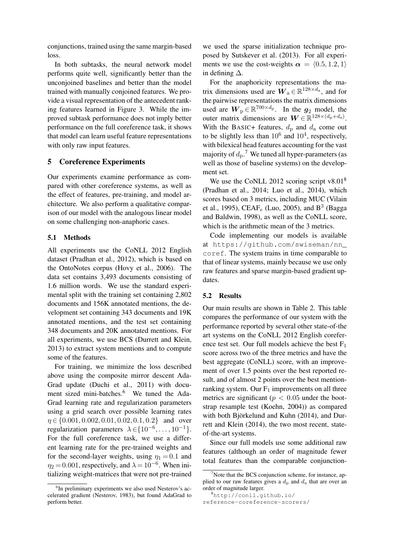conjunctions, trained using the same margin-based loss.

In both subtasks, the neural network model performs quite well, significantly better than the unconjoined baselines and better than the model trained with manually conjoined features. We provide a visual representation of the antecedent ranking features learned in Figure 3. While the improved subtask performance does not imply better performance on the full coreference task, it shows that model can learn useful feature representations with only raw input features.

# 5 Coreference Experiments

Our experiments examine performance as compared with other coreference systems, as well as the effect of features, pre-training, and model architecture. We also perform a qualitative comparison of our model with the analogous linear model on some challenging non-anaphoric cases.

## 5.1 Methods

All experiments use the CoNLL 2012 English dataset (Pradhan et al., 2012), which is based on the OntoNotes corpus (Hovy et al., 2006). The data set contains 3,493 documents consisting of 1.6 million words. We use the standard experimental split with the training set containing 2,802 documents and 156K annotated mentions, the development set containing 343 documents and 19K annotated mentions, and the test set containing 348 documents and 20K annotated mentions. For all experiments, we use BCS (Durrett and Klein, 2013) to extract system mentions and to compute some of the features.

For training, we minimize the loss described above using the composite mirror descent Ada-Grad update (Duchi et al., 2011) with document sized mini-batches.<sup>6</sup> We tuned the Ada-Grad learning rate and regularization parameters using a grid search over possible learning rates ⌘ 2 *{*0*.*001*,* 0*.*002*,* 0*.*01*,* 0*.*02*,* 0*.*1*,* 0*.*2*}* and over regularization parameters  $\lambda \in \{10^{-6}, \ldots, 10^{-1}\}.$ For the full coreference task, we use a different learning rate for the pre-trained weights and for the second-layer weights, using  $\eta_1 = 0.1$  and  $\eta_2 = 0.001$ , respectively, and  $\lambda = 10^{-6}$ . When initializing weight-matrices that were not pre-trained

we used the sparse initialization technique proposed by Sutskever et al. (2013). For all experiments we use the cost-weights  $\alpha = \langle 0.5, 1.2, 1 \rangle$ in defining  $\Delta$ .

For the anaphoricity representations the matrix dimensions used are  $W_a \in \mathbb{R}^{128 \times d_a}$ , and for the pairwise representations the matrix dimensions used are  $W_p \in \mathbb{R}^{700 \times d_p}$ . In the  $g_2$  model, the outer matrix dimensions are  $W \in \mathbb{R}^{128 \times (d_p + d_a)}$ . With the BASIC+ features,  $d_p$  and  $d_a$  come out to be slightly less than  $10^6$  and  $10^4$ , respectively, with bilexical head features accounting for the vast majority of  $d_p$ .<sup>7</sup> We tuned all hyper-parameters (as well as those of baseline systems) on the development set.

We use the CoNLL 2012 scoring script  $v8.01^8$ (Pradhan et al., 2014; Luo et al., 2014), which scores based on 3 metrics, including MUC (Vilain et al., 1995), CEAF<sub>e</sub> (Luo, 2005), and B<sup>3</sup> (Bagga and Baldwin, 1998), as well as the CoNLL score, which is the arithmetic mean of the 3 metrics.

Code implementing our models is available at https://github.com/swiseman/nn\_ coref. The system trains in time comparable to that of linear systems, mainly because we use only raw features and sparse margin-based gradient updates.

### 5.2 Results

Our main results are shown in Table 2. This table compares the performance of our system with the performance reported by several other state-of-the art systems on the CoNLL 2012 English coreference test set. Our full models achieve the best  $F_1$ score across two of the three metrics and have the best aggregate (CoNLL) score, with an improvement of over 1.5 points over the best reported result, and of almost 2 points over the best mentionranking system. Our  $F_1$  improvements on all three metrics are significant ( $p < 0.05$  under the bootstrap resample test (Koehn, 2004)) as compared with both Björkelund and Kuhn (2014), and Durrett and Klein (2014), the two most recent, stateof-the-art systems.

Since our full models use some additional raw features (although an order of magnitude fewer total features than the comparable conjunction-

<sup>6</sup> In preliminary experiments we also used Nesterov's accelerated gradient (Nesterov, 1983), but found AdaGrad to perform better.

<sup>&</sup>lt;sup>7</sup>Note that the BCS conjunction scheme, for instance, applied to our raw features gives a  $d_p$  and  $d_a$  that are over an order of magnitude larger.

<sup>8</sup> http://conll.github.io/

reference-coreference-scorers/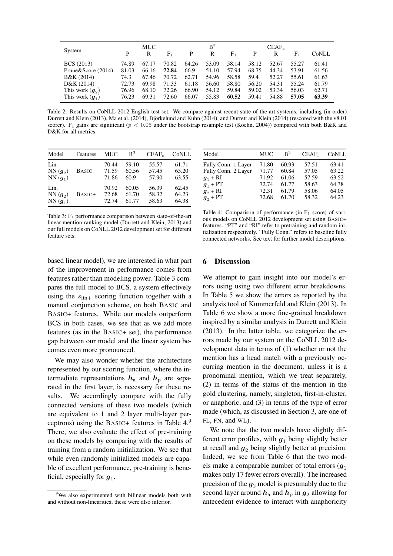|                    |       | <b>MUC</b> |                |       | B <sup>3</sup> |                |       | $CEAF_e$ |       |       |
|--------------------|-------|------------|----------------|-------|----------------|----------------|-------|----------|-------|-------|
| System             | P     | R          | F <sub>1</sub> | P     | R              | F <sub>1</sub> | P     | R        | F1    | CoNLL |
| <b>BCS</b> (2013)  | 74.89 | 67.17      | 70.82          | 64.26 | 53.09          | 58.14          | 58.12 | 52.67    | 55.27 | 61.41 |
| Prune&Score (2014) | 81.03 | 66.16      | 72.84          | 66.9  | 51.10          | 57.94          | 68.75 | 44.34    | 53.91 | 61.56 |
| B&K (2014)         | 74.3  | 67.46      | 70.72          | 62.71 | 54.96          | 58.58          | 59.4  | 52.27    | 55.61 | 61.63 |
| D&K (2014)         | 72.73 | 69.98      | 71.33          | 61.18 | 56.60          | 58.80          | 56.20 | 54.31    | 55.24 | 61.79 |
| This work $(q_2)$  | 76.96 | 68.10      | 72.26          | 66.90 | 54.12          | 59.84          | 59.02 | 53.34    | 56.03 | 62.71 |
| This work $(q_1)$  | 76.23 | 69.31      | 72.60          | 66.07 | 55.83          | 60.52          | 59.41 | 54.88    | 57.05 | 63.39 |

Table 2: Results on CoNLL 2012 English test set. We compare against recent state-of-the-art systems, including (in order) Durrett and Klein (2013), Ma et al. (2014), Björkelund and Kuhn (2014), and Durrett and Klein (2014) (rescored with the v8.01 scorer). F<sup>1</sup> gains are significant (*p <* 0*.*05 under the bootstrap resample test (Koehn, 2004)) compared with both B&K and D&K for all metrics.

| Model     | Features     | <b>MUC</b> | $R^3$ | CEAF <sub>e</sub> | CoNLL |
|-----------|--------------|------------|-------|-------------------|-------|
| Lin.      | <b>BASIC</b> | 70.44      | 59.10 | 55.57             | 61.71 |
| $NN(q_2)$ |              | 71.59      | 60.56 | 57.45             | 63.20 |
| $NN(q_1)$ |              | 71.86      | 60.9  | 57.90             | 63.55 |
| Lin.      | BASIC+       | 70.92      | 60.05 | 56.39             | 62.45 |
| $NN(g_2)$ |              | 72.68      | 61.70 | 58.32             | 64.23 |
| $NN(q_1)$ |              | 72.74      | 61.77 | 58.63             | 64.38 |

Table 3:  $F_1$  performance comparison between state-of-the-art linear mention-ranking model (Durrett and Klein, 2013) and our full models on CoNLL 2012 development set for different feature sets.

| Model               | <b>MUC</b> | $R^3$ | CEAF <sub>e</sub> | CoNLL |
|---------------------|------------|-------|-------------------|-------|
| Fully Conn. 1 Layer | 71.80      | 60.93 | 57.51             | 63.41 |
| Fully Conn. 2 Layer | 71.77      | 60.84 | 57.05             | 63.22 |
| $g_1$ + RI          | 71.92      | 61.06 | 57.59             | 63.52 |
| $q_1$ + PT          | 72.74      | 61.77 | 58.63             | 64.38 |
| $g_2$ + RI          | 72.31      | 61.79 | 58.06             | 64.05 |
| $g_2$ + PT          | 72.68      | 61.70 | 58.32             | 64.23 |

Table 4: Comparison of performance (in  $F_1$  score) of various models on CoNLL 2012 development set using BASIC+ features. "PT" and "RI" refer to pretraining and random initialization respectively. "Fully Conn." refers to baseline fully connected networks. See text for further model descriptions.

based linear model), we are interested in what part of the improvement in performance comes from features rather than modeling power. Table 3 compares the full model to BCS, a system effectively using the  $s_{\text{lin}+}$  scoring function together with a manual conjunction scheme, on both BASIC and BASIC+ features. While our models outperform BCS in both cases, we see that as we add more features (as in the BASIC+ set), the performance gap between our model and the linear system becomes even more pronounced.

We may also wonder whether the architecture represented by our scoring function, where the intermediate representations  $h_a$  and  $h_p$  are separated in the first layer, is necessary for these results. We accordingly compare with the fully connected versions of these two models (which are equivalent to 1 and 2 layer multi-layer perceptrons) using the BASIC+ features in Table  $4.9$ There, we also evaluate the effect of pre-training on these models by comparing with the results of training from a random initialization. We see that while even randomly initialized models are capable of excellent performance, pre-training is beneficial, especially for  $g_1$ .

### 6 Discussion

We attempt to gain insight into our model's errors using using two different error breakdowns. In Table 5 we show the errors as reported by the analysis tool of Kummerfeld and Klein (2013). In Table 6 we show a more fine-grained breakdown inspired by a similar analysis in Durrett and Klein (2013). In the latter table, we categorize the errors made by our system on the CoNLL 2012 development data in terms of (1) whether or not the mention has a head match with a previously occurring mention in the document, unless it is a pronominal mention, which we treat separately, (2) in terms of the status of the mention in the gold clustering, namely, singleton, first-in-cluster, or anaphoric, and (3) in terms of the type of error made (which, as discussed in Section 3, are one of FL, FN, and WL).

We note that the two models have slightly different error profiles, with  $g_1$  being slightly better at recall and  $g_2$  being slightly better at precision. Indeed, we see from Table 6 that the two models make a comparable number of total errors  $(q_1)$ makes only 17 fewer errors overall). The increased precision of the  $g_2$  model is presumably due to the second layer around  $h_a$  and  $h_p$  in  $g_2$  allowing for antecedent evidence to interact with anaphoricity

<sup>&</sup>lt;sup>9</sup>We also experimented with bilinear models both with and without non-linearities; these were also inferior.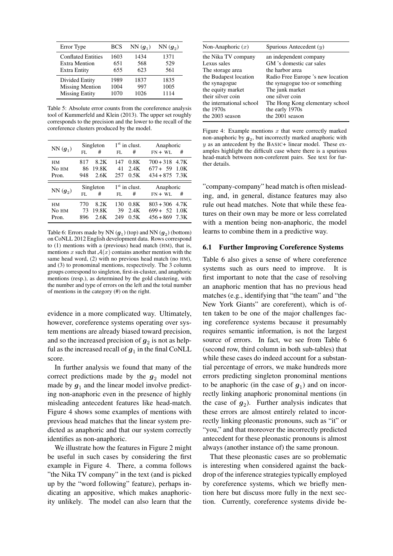| Error Type                | BCS  | $NN(q_1)$ | $NN(g_2)$ |
|---------------------------|------|-----------|-----------|
| <b>Conflated Entities</b> | 1603 | 1434      | 1371      |
| <b>Extra Mention</b>      | 651  | 568       | 529       |
| <b>Extra Entity</b>       | 655  | 623       | 561       |
| Divided Entity            | 1989 | 1837      | 1835      |
| <b>Missing Mention</b>    | 1004 | 997       | 1005      |
| <b>Missing Entity</b>     | 1070 | 1026      | 1114      |

Table 5: Absolute error counts from the coreference analysis tool of Kummerfeld and Klein (2013). The upper set roughly corresponds to the precision and the lower to the recall of the coreference clusters produced by the model.

|                        |     | Singleton |     | $1st$ in clust. | Anaphoric        |      |
|------------------------|-----|-----------|-----|-----------------|------------------|------|
| $NN(\boldsymbol{g}_1)$ | FL. | #         | FL. | #               | $FN + WL$        | #    |
| <b>HM</b>              | 817 | 8.2K      | 147 | 0.8K            | $700 + 318$      | 4.7K |
| No HM                  | 86  | 19.8K     | 41  | 2.4K            | $677 + 59$       | 1.0K |
| Pron.                  | 948 | 2.6K      | 257 | 0.5K            | $434 + 875$ 7.3K |      |
|                        |     |           |     |                 |                  |      |
|                        |     | Singleton |     | $1st$ in clust. | Anaphoric        |      |
| $NN(g_2)$              | FL. | #         | FL. | #               | $FN + WL$        | #    |
| <b>HM</b>              | 770 | 8.2K      | 130 | 0.8K            | $803 + 306$      | 4.7K |
| No <sub>HM</sub>       | 73  | 19.8K     | 39  | 2.4K            | $699 + 52$       | 1.0K |

Table 6: Errors made by NN  $(g_1)$  (top) and NN  $(g_2)$  (bottom) on CoNLL 2012 English development data. Rows correspond to (1) mentions with a (previous) head match (HM), that is, mentions *x* such that  $A(x)$  contains another mention with the same head word, (2) with no previous head match (no HM), and (3) to pronominal mentions, respectively. The 3 column groups correspond to singleton, first-in-cluster, and anaphoric mentions (resp.), as determined by the gold clustering, with the number and type of errors on the left and the total number of mentions in the category (#) on the right.

evidence in a more complicated way. Ultimately, however, coreference systems operating over system mentions are already biased toward precision, and so the increased precision of  $g_2$  is not as helpful as the increased recall of  $g_1$  in the final CoNLL score.

In further analysis we found that many of the correct predictions made by the  $g_2$  model not made by  $g_1$  and the linear model involve predicting non-anaphoric even in the presence of highly misleading antecedent features like head-match. Figure 4 shows some examples of mentions with previous head matches that the linear system predicted as anaphoric and that our system correctly identifies as non-anaphoric.

We illustrate how the features in Figure 2 might be useful in such cases by considering the first example in Figure 4. There, a comma follows "the Nika TV company" in the text (and is picked up by the "word following" feature), perhaps indicating an appositive, which makes anaphoricity unlikely. The model can also learn that the

| Radio Free Europe 's new location |
|-----------------------------------|
|                                   |
|                                   |
|                                   |
| The Hong Kong elementary school   |
|                                   |
|                                   |
|                                   |

Figure 4: Example mentions *x* that were correctly marked non-anaphoric by  $g_2$ , but incorrectly marked anaphoric with *y* as an antecedent by the BASIC+ linear model. These examples highlight the difficult case where there is a spurious head-match between non-coreferent pairs. See text for further details.

"company-company" head match is often misleading, and, in general, distance features may also rule out head matches. Note that while these features on their own may be more or less correlated with a mention being non-anaphoric, the model learns to combine them in a predictive way.

## 6.1 Further Improving Coreference Systems

Table 6 also gives a sense of where coreference systems such as ours need to improve. It is first important to note that the case of resolving an anaphoric mention that has no previous head matches (e.g., identifying that "the team" and "the New York Giants" are coreferent), which is often taken to be one of the major challenges facing coreference systems because it presumably requires semantic information, is not the largest source of errors. In fact, we see from Table 6 (second row, third column in both sub-tables) that while these cases do indeed account for a substantial percentage of errors, we make hundreds more errors predicting singleton pronominal mentions to be anaphoric (in the case of  $g_1$ ) and on incorrectly linking anaphoric pronominal mentions (in the case of  $g_2$ ). Further analysis indicates that these errors are almost entirely related to incorrectly linking pleonastic pronouns, such as "it" or "you," and that moreover the incorrectly predicted antecedent for these pleonastic pronouns is almost always (another instance of) the same pronoun.

That these pleonastic cases are so problematic is interesting when considered against the backdrop of the inference strategies typically employed by coreference systems, which we briefly mention here but discuss more fully in the next section. Currently, coreference systems divide be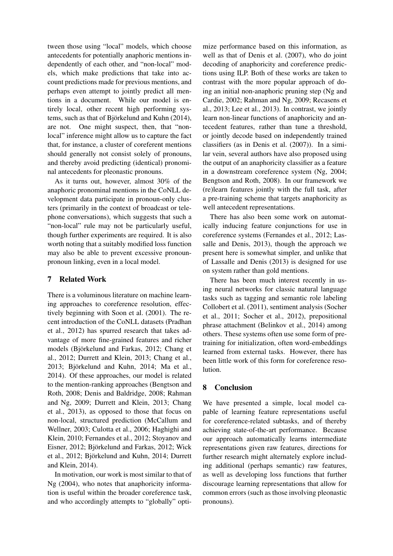tween those using "local" models, which choose antecedents for potentially anaphoric mentions independently of each other, and "non-local" models, which make predictions that take into account predictions made for previous mentions, and perhaps even attempt to jointly predict all mentions in a document. While our model is entirely local, other recent high performing systems, such as that of Björkelund and Kuhn  $(2014)$ , are not. One might suspect, then, that "nonlocal" inference might allow us to capture the fact that, for instance, a cluster of coreferent mentions should generally not consist solely of pronouns, and thereby avoid predicting (identical) pronominal antecedents for pleonastic pronouns.

As it turns out, however, almost 30% of the anaphoric pronominal mentions in the CoNLL development data participate in pronoun-only clusters (primarily in the context of broadcast or telephone conversations), which suggests that such a "non-local" rule may not be particularly useful, though further experiments are required. It is also worth noting that a suitably modified loss function may also be able to prevent excessive pronounpronoun linking, even in a local model.

# 7 Related Work

There is a voluminous literature on machine learning approaches to coreference resolution, effectively beginning with Soon et al. (2001). The recent introduction of the CoNLL datasets (Pradhan et al., 2012) has spurred research that takes advantage of more fine-grained features and richer models (Björkelund and Farkas, 2012; Chang et al., 2012; Durrett and Klein, 2013; Chang et al., 2013; Björkelund and Kuhn, 2014; Ma et al., 2014). Of these approaches, our model is related to the mention-ranking approaches (Bengtson and Roth, 2008; Denis and Baldridge, 2008; Rahman and Ng, 2009; Durrett and Klein, 2013; Chang et al., 2013), as opposed to those that focus on non-local, structured prediction (McCallum and Wellner, 2003; Culotta et al., 2006; Haghighi and Klein, 2010; Fernandes et al., 2012; Stoyanov and Eisner, 2012; Björkelund and Farkas, 2012; Wick et al., 2012; Björkelund and Kuhn, 2014; Durrett and Klein, 2014).

In motivation, our work is most similar to that of Ng (2004), who notes that anaphoricity information is useful within the broader coreference task, and who accordingly attempts to "globally" opti-

mize performance based on this information, as well as that of Denis et al. (2007), who do joint decoding of anaphoricity and coreference predictions using ILP. Both of these works are taken to contrast with the more popular approach of doing an initial non-anaphoric pruning step (Ng and Cardie, 2002; Rahman and Ng, 2009; Recasens et al., 2013; Lee et al., 2013). In contrast, we jointly learn non-linear functions of anaphoricity and antecedent features, rather than tune a threshold, or jointly decode based on independently trained classifiers (as in Denis et al. (2007)). In a similar vein, several authors have also proposed using the output of an anaphoricity classifier as a feature in a downstream coreference system (Ng, 2004; Bengtson and Roth, 2008). In our framework we (re)learn features jointly with the full task, after a pre-training scheme that targets anaphoricity as well antecedent representations.

There has also been some work on automatically inducing feature conjunctions for use in coreference systems (Fernandes et al., 2012; Lassalle and Denis, 2013), though the approach we present here is somewhat simpler, and unlike that of Lassalle and Denis (2013) is designed for use on system rather than gold mentions.

There has been much interest recently in using neural networks for classic natural language tasks such as tagging and semantic role labeling Collobert et al. (2011), sentiment analysis (Socher et al., 2011; Socher et al., 2012), prepositional phrase attachment (Belinkov et al., 2014) among others. These systems often use some form of pretraining for initialization, often word-embeddings learned from external tasks. However, there has been little work of this form for coreference resolution.

# 8 Conclusion

We have presented a simple, local model capable of learning feature representations useful for coreference-related subtasks, and of thereby achieving state-of-the-art performance. Because our approach automatically learns intermediate representations given raw features, directions for further research might alternately explore including additional (perhaps semantic) raw features, as well as developing loss functions that further discourage learning representations that allow for common errors (such as those involving pleonastic pronouns).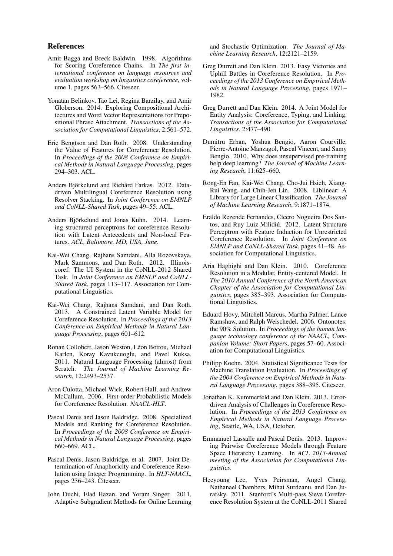### References

- Amit Bagga and Breck Baldwin. 1998. Algorithms for Scoring Coreference Chains. In *The first international conference on language resources and evaluation workshop on linguistics coreference*, volume 1, pages 563–566. Citeseer.
- Yonatan Belinkov, Tao Lei, Regina Barzilay, and Amir Globerson. 2014. Exploring Compositional Architectures and Word Vector Representations for Prepositional Phrase Attachment. *Transactions of the Association for Computational Linguistics*, 2:561–572.
- Eric Bengtson and Dan Roth. 2008. Understanding the Value of Features for Coreference Resolution. In *Proceedings of the 2008 Conference on Empirical Methods in Natural Language Processing*, pages 294–303. ACL.
- Anders Biörkelund and Richárd Farkas. 2012. Datadriven Multilingual Coreference Resolution using Resolver Stacking. In *Joint Conference on EMNLP and CoNLL-Shared Task*, pages 49–55. ACL.
- Anders Björkelund and Jonas Kuhn. 2014. Learning structured perceptrons for coreference Resolution with Latent Antecedents and Non-local Features. *ACL, Baltimore, MD, USA, June*.
- Kai-Wei Chang, Rajhans Samdani, Alla Rozovskaya, Mark Sammons, and Dan Roth. 2012. Illinoiscoref: The UI System in the CoNLL-2012 Shared Task. In *Joint Conference on EMNLP and CoNLL-Shared Task*, pages 113–117. Association for Computational Linguistics.
- Kai-Wei Chang, Rajhans Samdani, and Dan Roth. 2013. A Constrained Latent Variable Model for Coreference Resolution. In *Proceedings of the 2013 Conference on Empirical Methods in Natural Language Processing*, pages 601–612.
- Ronan Collobert, Jason Weston, Léon Bottou, Michael Karlen, Koray Kavukcuoglu, and Pavel Kuksa. 2011. Natural Language Processing (almost) from Scratch. *The Journal of Machine Learning Research*, 12:2493–2537.
- Aron Culotta, Michael Wick, Robert Hall, and Andrew McCallum. 2006. First-order Probabilistic Models for Coreference Resolution. *NAACL-HLT*.
- Pascal Denis and Jason Baldridge. 2008. Specialized Models and Ranking for Coreference Resolution. In *Proceedings of the 2008 Conference on Empirical Methods in Natural Language Processing*, pages 660–669. ACL.
- Pascal Denis, Jason Baldridge, et al. 2007. Joint Determination of Anaphoricity and Coreference Resolution using Integer Programming. In *HLT-NAACL*, pages 236–243. Citeseer.
- John Duchi, Elad Hazan, and Yoram Singer. 2011. Adaptive Subgradient Methods for Online Learning

and Stochastic Optimization. *The Journal of Machine Learning Research*, 12:2121–2159.

- Greg Durrett and Dan Klein. 2013. Easy Victories and Uphill Battles in Coreference Resolution. In *Proceedings of the 2013 Conference on Empirical Methods in Natural Language Processing*, pages 1971– 1982.
- Greg Durrett and Dan Klein. 2014. A Joint Model for Entity Analysis: Coreference, Typing, and Linking. *Transactions of the Association for Computational Linguistics*, 2:477–490.
- Dumitru Erhan, Yoshua Bengio, Aaron Courville, Pierre-Antoine Manzagol, Pascal Vincent, and Samy Bengio. 2010. Why does unsupervised pre-training help deep learning? *The Journal of Machine Learning Research*, 11:625–660.
- Rong-En Fan, Kai-Wei Chang, Cho-Jui Hsieh, Xiang-Rui Wang, and Chih-Jen Lin. 2008. Liblinear: A Library for Large Linear Classification. *The Journal of Machine Learning Research*, 9:1871–1874.
- Eraldo Rezende Fernandes, Cícero Nogueira Dos Santos, and Ruy Luiz Milidiú. 2012. Latent Structure Perceptron with Feature Induction for Unrestricted Coreference Resolution. In *Joint Conference on EMNLP and CoNLL-Shared Task*, pages 41–48. Association for Computational Linguistics.
- Aria Haghighi and Dan Klein. 2010. Coreference Resolution in a Modular, Entity-centered Model. In *The 2010 Annual Conference of the North American Chapter of the Association for Computational Linguistics*, pages 385–393. Association for Computational Linguistics.
- Eduard Hovy, Mitchell Marcus, Martha Palmer, Lance Ramshaw, and Ralph Weischedel. 2006. Ontonotes: the 90% Solution. In *Proceedings of the human language technology conference of the NAACL, Companion Volume: Short Papers*, pages 57–60. Association for Computational Linguistics.
- Philipp Koehn. 2004. Statistical Significance Tests for Machine Translation Evaluation. In *Proceedings of the 2004 Conference on Empirical Methods in Natural Language Processing*, pages 388–395. Citeseer.
- Jonathan K. Kummerfeld and Dan Klein. 2013. Errordriven Analysis of Challenges in Coreference Resolution. In *Proceedings of the 2013 Conference on Empirical Methods in Natural Language Processing*, Seattle, WA, USA, October.
- Emmanuel Lassalle and Pascal Denis. 2013. Improving Pairwise Coreference Models through Feature Space Hierarchy Learning. In *ACL 2013-Annual meeting of the Association for Computational Linguistics*.
- Heeyoung Lee, Yves Peirsman, Angel Chang, Nathanael Chambers, Mihai Surdeanu, and Dan Jurafsky. 2011. Stanford's Multi-pass Sieve Coreference Resolution System at the CoNLL-2011 Shared